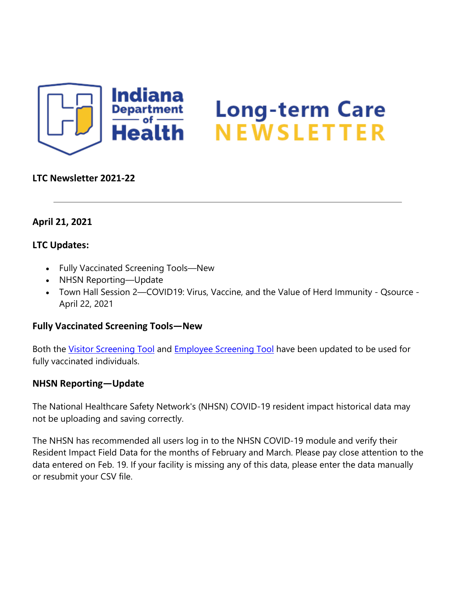

# Long-term Care<br>NEWSLETTER

### **LTC Newsletter 2021-22**

### **April 21, 2021**

### **LTC Updates:**

- Fully Vaccinated Screening Tools—New
- NHSN Reporting—Update
- Town Hall Session 2—COVID19: Virus, Vaccine, and the Value of Herd Immunity Qsource April 22, 2021

### **Fully Vaccinated Screening Tools—New**

Both the [Visitor Screening Tool](https://www.coronavirus.in.gov/files/Visitor%20screening%20tool-%20Fully%20Vaccinated%204.20.21.pdf) and [Employee Screening Tool](https://www.coronavirus.in.gov/files/Employee%20screening%20tool%20-%20Fully%20Vaccinated%204.20.21.pdf) have been updated to be used for fully vaccinated individuals.

## **NHSN Reporting—Update**

The National Healthcare Safety Network's (NHSN) COVID-19 resident impact historical data may not be uploading and saving correctly.

The NHSN has recommended all users log in to the NHSN COVID-19 module and verify their Resident Impact Field Data for the months of February and March. Please pay close attention to the data entered on Feb. 19. If your facility is missing any of this data, please enter the data manually or resubmit your CSV file.